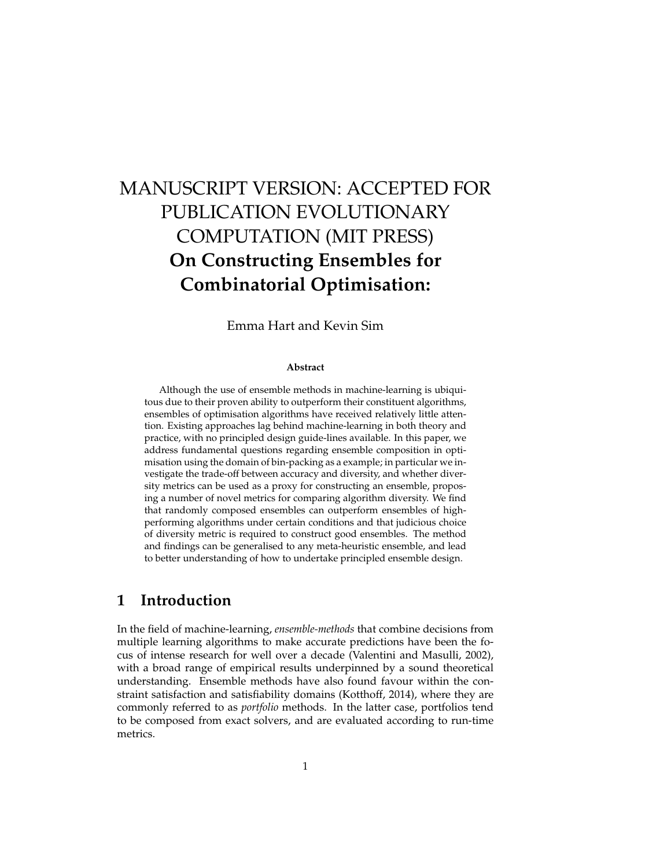# MANUSCRIPT VERSION: ACCEPTED FOR PUBLICATION EVOLUTIONARY COMPUTATION (MIT PRESS) **On Constructing Ensembles for Combinatorial Optimisation:**

Emma Hart and Kevin Sim

#### **Abstract**

Although the use of ensemble methods in machine-learning is ubiquitous due to their proven ability to outperform their constituent algorithms, ensembles of optimisation algorithms have received relatively little attention. Existing approaches lag behind machine-learning in both theory and practice, with no principled design guide-lines available. In this paper, we address fundamental questions regarding ensemble composition in optimisation using the domain of bin-packing as a example; in particular we investigate the trade-off between accuracy and diversity, and whether diversity metrics can be used as a proxy for constructing an ensemble, proposing a number of novel metrics for comparing algorithm diversity. We find that randomly composed ensembles can outperform ensembles of highperforming algorithms under certain conditions and that judicious choice of diversity metric is required to construct good ensembles. The method and findings can be generalised to any meta-heuristic ensemble, and lead to better understanding of how to undertake principled ensemble design.

# **1 Introduction**

In the field of machine-learning, *ensemble-methods* that combine decisions from multiple learning algorithms to make accurate predictions have been the focus of intense research for well over a decade (Valentini and Masulli, 2002), with a broad range of empirical results underpinned by a sound theoretical understanding. Ensemble methods have also found favour within the constraint satisfaction and satisfiability domains (Kotthoff, 2014), where they are commonly referred to as *portfolio* methods. In the latter case, portfolios tend to be composed from exact solvers, and are evaluated according to run-time metrics.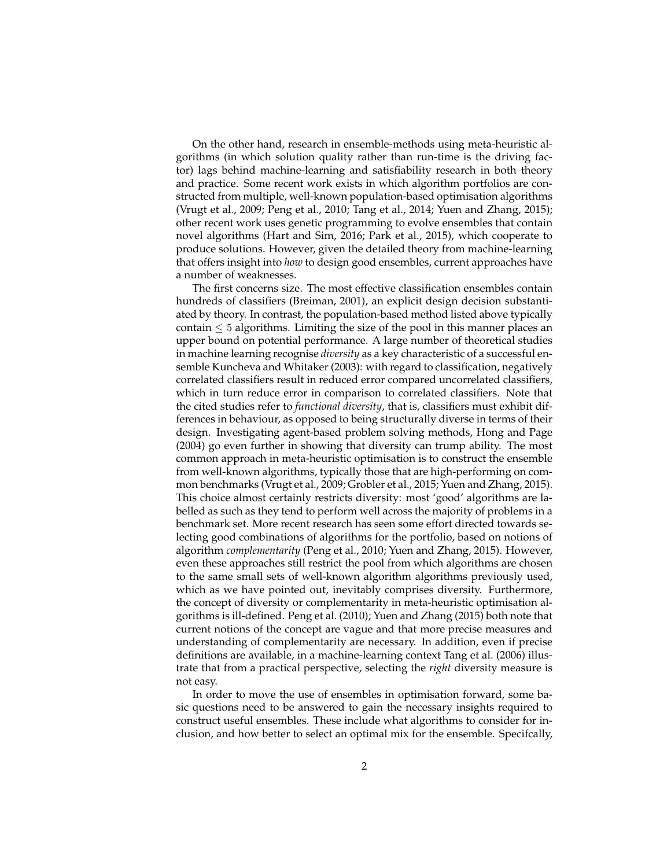On the other hand, research in ensemble-methods using meta-heuristic algorithms (in which solution quality rather than run-time is the driving factor) lags behind machine-learning and satisfiability research in both theory and practice. Some recent work exists in which algorithm portfolios are constructed from multiple, well-known population-based optimisation algorithms (Vrugt et al., 2009; Peng et al., 2010; Tang et al., 2014; Yuen and Zhang, 2015); other recent work uses genetic programming to evolve ensembles that contain novel algorithms (Hart and Sim, 2016; Park et al., 2015), which cooperate to produce solutions. However, given the detailed theory from machine-learning that offers insight into *how* to design good ensembles, current approaches have a number of weaknesses.

The first concerns size. The most effective classification ensembles contain hundreds of classifiers (Breiman, 2001), an explicit design decision substantiated by theory. In contrast, the population-based method listed above typically contain  $\leq 5$  algorithms. Limiting the size of the pool in this manner places an upper bound on potential performance. A large number of theoretical studies in machine learning recognise *diversity* as a key characteristic of a successful ensemble Kuncheva and Whitaker (2003): with regard to classification, negatively correlated classifiers result in reduced error compared uncorrelated classifiers, which in turn reduce error in comparison to correlated classifiers. Note that the cited studies refer to *functional diversity*, that is, classifiers must exhibit differences in behaviour, as opposed to being structurally diverse in terms of their design. Investigating agent-based problem solving methods, Hong and Page (2004) go even further in showing that diversity can trump ability. The most common approach in meta-heuristic optimisation is to construct the ensemble from well-known algorithms, typically those that are high-performing on common benchmarks (Vrugt et al., 2009; Grobler et al., 2015; Yuen and Zhang, 2015). This choice almost certainly restricts diversity: most 'good' algorithms are labelled as such as they tend to perform well across the majority of problems in a benchmark set. More recent research has seen some effort directed towards selecting good combinations of algorithms for the portfolio, based on notions of algorithm *complementarity* (Peng et al., 2010; Yuen and Zhang, 2015). However, even these approaches still restrict the pool from which algorithms are chosen to the same small sets of well-known algorithm algorithms previously used, which as we have pointed out, inevitably comprises diversity. Furthermore, the concept of diversity or complementarity in meta-heuristic optimisation algorithms is ill-defined. Peng et al. (2010); Yuen and Zhang (2015) both note that current notions of the concept are vague and that more precise measures and understanding of complementarity are necessary. In addition, even if precise definitions are available, in a machine-learning context Tang et al. (2006) illustrate that from a practical perspective, selecting the *right* diversity measure is not easy.

In order to move the use of ensembles in optimisation forward, some basic questions need to be answered to gain the necessary insights required to construct useful ensembles. These include what algorithms to consider for inclusion, and how better to select an optimal mix for the ensemble. Specifcally,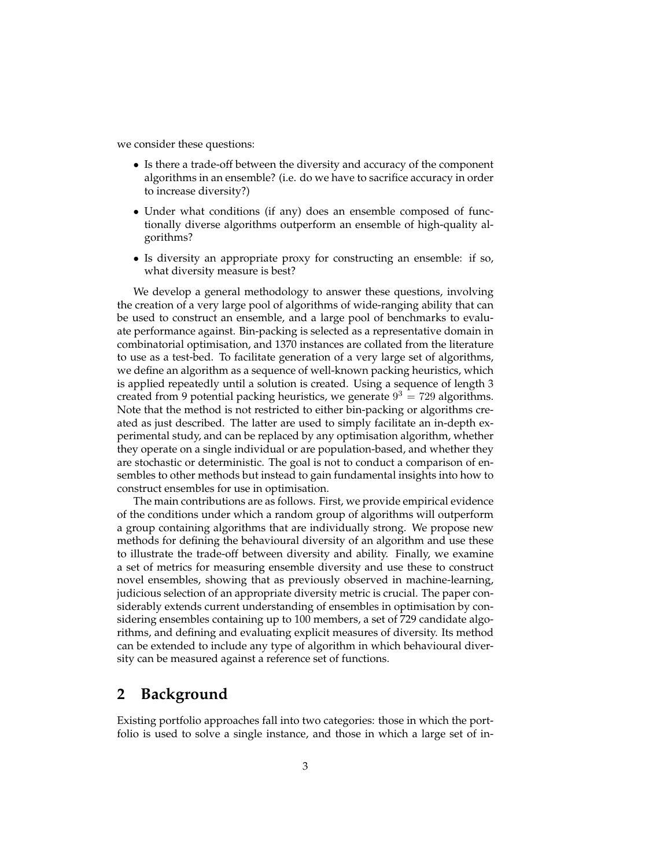we consider these questions:

- Is there a trade-off between the diversity and accuracy of the component algorithms in an ensemble? (i.e. do we have to sacrifice accuracy in order to increase diversity?)
- Under what conditions (if any) does an ensemble composed of functionally diverse algorithms outperform an ensemble of high-quality algorithms?
- Is diversity an appropriate proxy for constructing an ensemble: if so, what diversity measure is best?

We develop a general methodology to answer these questions, involving the creation of a very large pool of algorithms of wide-ranging ability that can be used to construct an ensemble, and a large pool of benchmarks to evaluate performance against. Bin-packing is selected as a representative domain in combinatorial optimisation, and 1370 instances are collated from the literature to use as a test-bed. To facilitate generation of a very large set of algorithms, we define an algorithm as a sequence of well-known packing heuristics, which is applied repeatedly until a solution is created. Using a sequence of length 3 created from 9 potential packing heuristics, we generate  $9^3 = 729$  algorithms. Note that the method is not restricted to either bin-packing or algorithms created as just described. The latter are used to simply facilitate an in-depth experimental study, and can be replaced by any optimisation algorithm, whether they operate on a single individual or are population-based, and whether they are stochastic or deterministic. The goal is not to conduct a comparison of ensembles to other methods but instead to gain fundamental insights into how to construct ensembles for use in optimisation.

The main contributions are as follows. First, we provide empirical evidence of the conditions under which a random group of algorithms will outperform a group containing algorithms that are individually strong. We propose new methods for defining the behavioural diversity of an algorithm and use these to illustrate the trade-off between diversity and ability. Finally, we examine a set of metrics for measuring ensemble diversity and use these to construct novel ensembles, showing that as previously observed in machine-learning, judicious selection of an appropriate diversity metric is crucial. The paper considerably extends current understanding of ensembles in optimisation by considering ensembles containing up to 100 members, a set of 729 candidate algorithms, and defining and evaluating explicit measures of diversity. Its method can be extended to include any type of algorithm in which behavioural diversity can be measured against a reference set of functions.

### **2 Background**

Existing portfolio approaches fall into two categories: those in which the portfolio is used to solve a single instance, and those in which a large set of in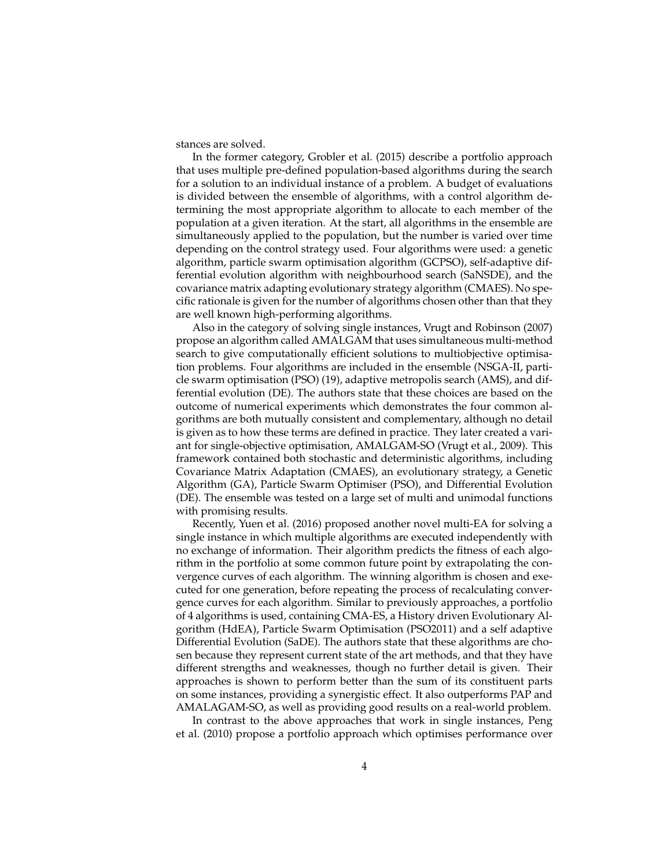stances are solved.

In the former category, Grobler et al. (2015) describe a portfolio approach that uses multiple pre-defined population-based algorithms during the search for a solution to an individual instance of a problem. A budget of evaluations is divided between the ensemble of algorithms, with a control algorithm determining the most appropriate algorithm to allocate to each member of the population at a given iteration. At the start, all algorithms in the ensemble are simultaneously applied to the population, but the number is varied over time depending on the control strategy used. Four algorithms were used: a genetic algorithm, particle swarm optimisation algorithm (GCPSO), self-adaptive differential evolution algorithm with neighbourhood search (SaNSDE), and the covariance matrix adapting evolutionary strategy algorithm (CMAES). No specific rationale is given for the number of algorithms chosen other than that they are well known high-performing algorithms.

Also in the category of solving single instances, Vrugt and Robinson (2007) propose an algorithm called AMALGAM that uses simultaneous multi-method search to give computationally efficient solutions to multiobjective optimisation problems. Four algorithms are included in the ensemble (NSGA-II, particle swarm optimisation (PSO) (19), adaptive metropolis search (AMS), and differential evolution (DE). The authors state that these choices are based on the outcome of numerical experiments which demonstrates the four common algorithms are both mutually consistent and complementary, although no detail is given as to how these terms are defined in practice. They later created a variant for single-objective optimisation, AMALGAM-SO (Vrugt et al., 2009). This framework contained both stochastic and deterministic algorithms, including Covariance Matrix Adaptation (CMAES), an evolutionary strategy, a Genetic Algorithm (GA), Particle Swarm Optimiser (PSO), and Differential Evolution (DE). The ensemble was tested on a large set of multi and unimodal functions with promising results.

Recently, Yuen et al. (2016) proposed another novel multi-EA for solving a single instance in which multiple algorithms are executed independently with no exchange of information. Their algorithm predicts the fitness of each algorithm in the portfolio at some common future point by extrapolating the convergence curves of each algorithm. The winning algorithm is chosen and executed for one generation, before repeating the process of recalculating convergence curves for each algorithm. Similar to previously approaches, a portfolio of 4 algorithms is used, containing CMA-ES, a History driven Evolutionary Algorithm (HdEA), Particle Swarm Optimisation (PSO2011) and a self adaptive Differential Evolution (SaDE). The authors state that these algorithms are chosen because they represent current state of the art methods, and that they have different strengths and weaknesses, though no further detail is given. Their approaches is shown to perform better than the sum of its constituent parts on some instances, providing a synergistic effect. It also outperforms PAP and AMALAGAM-SO, as well as providing good results on a real-world problem.

In contrast to the above approaches that work in single instances, Peng et al. (2010) propose a portfolio approach which optimises performance over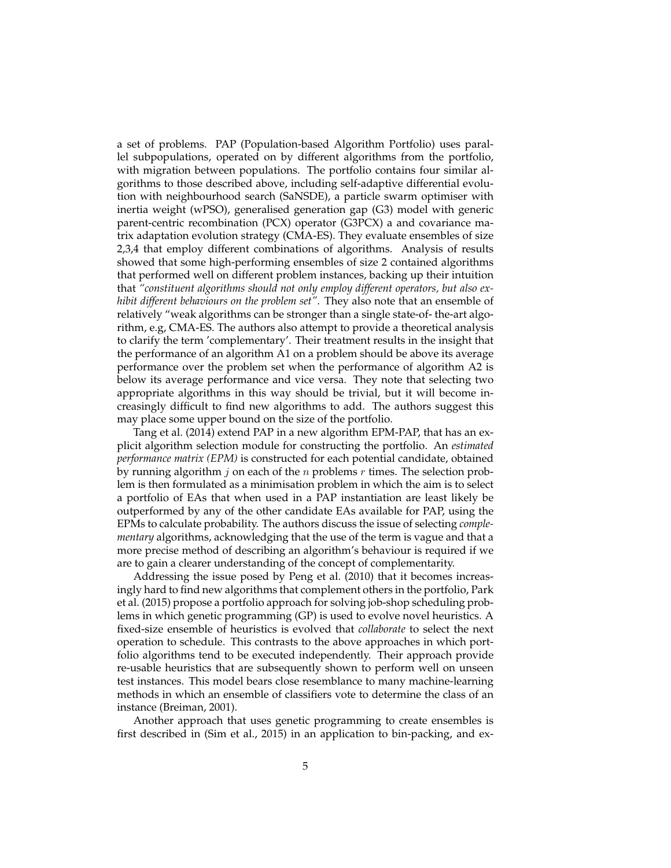a set of problems. PAP (Population-based Algorithm Portfolio) uses parallel subpopulations, operated on by different algorithms from the portfolio, with migration between populations. The portfolio contains four similar algorithms to those described above, including self-adaptive differential evolution with neighbourhood search (SaNSDE), a particle swarm optimiser with inertia weight (wPSO), generalised generation gap (G3) model with generic parent-centric recombination (PCX) operator (G3PCX) a and covariance matrix adaptation evolution strategy (CMA-ES). They evaluate ensembles of size 2,3,4 that employ different combinations of algorithms. Analysis of results showed that some high-performing ensembles of size 2 contained algorithms that performed well on different problem instances, backing up their intuition that *"constituent algorithms should not only employ different operators, but also exhibit different behaviours on the problem set"*. They also note that an ensemble of relatively "weak algorithms can be stronger than a single state-of- the-art algorithm, e.g, CMA-ES. The authors also attempt to provide a theoretical analysis to clarify the term 'complementary'. Their treatment results in the insight that the performance of an algorithm A1 on a problem should be above its average performance over the problem set when the performance of algorithm A2 is below its average performance and vice versa. They note that selecting two appropriate algorithms in this way should be trivial, but it will become increasingly difficult to find new algorithms to add. The authors suggest this may place some upper bound on the size of the portfolio.

Tang et al. (2014) extend PAP in a new algorithm EPM-PAP, that has an explicit algorithm selection module for constructing the portfolio. An *estimated performance matrix (EPM)* is constructed for each potential candidate, obtained by running algorithm  $j$  on each of the  $n$  problems  $r$  times. The selection problem is then formulated as a minimisation problem in which the aim is to select a portfolio of EAs that when used in a PAP instantiation are least likely be outperformed by any of the other candidate EAs available for PAP, using the EPMs to calculate probability. The authors discuss the issue of selecting *complementary* algorithms, acknowledging that the use of the term is vague and that a more precise method of describing an algorithm's behaviour is required if we are to gain a clearer understanding of the concept of complementarity.

Addressing the issue posed by Peng et al. (2010) that it becomes increasingly hard to find new algorithms that complement others in the portfolio, Park et al. (2015) propose a portfolio approach for solving job-shop scheduling problems in which genetic programming (GP) is used to evolve novel heuristics. A fixed-size ensemble of heuristics is evolved that *collaborate* to select the next operation to schedule. This contrasts to the above approaches in which portfolio algorithms tend to be executed independently. Their approach provide re-usable heuristics that are subsequently shown to perform well on unseen test instances. This model bears close resemblance to many machine-learning methods in which an ensemble of classifiers vote to determine the class of an instance (Breiman, 2001).

Another approach that uses genetic programming to create ensembles is first described in (Sim et al., 2015) in an application to bin-packing, and ex-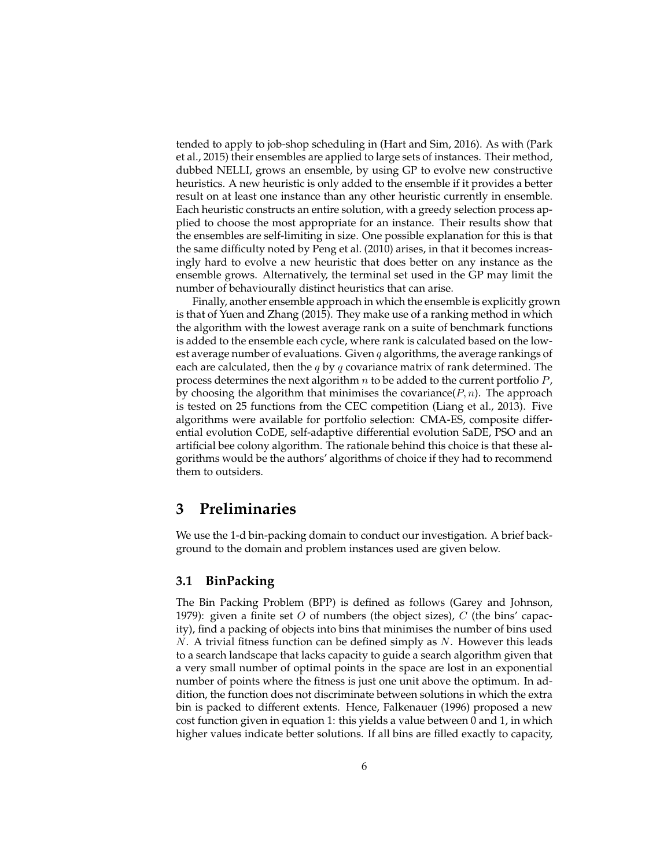tended to apply to job-shop scheduling in (Hart and Sim, 2016). As with (Park et al., 2015) their ensembles are applied to large sets of instances. Their method, dubbed NELLI, grows an ensemble, by using GP to evolve new constructive heuristics. A new heuristic is only added to the ensemble if it provides a better result on at least one instance than any other heuristic currently in ensemble. Each heuristic constructs an entire solution, with a greedy selection process applied to choose the most appropriate for an instance. Their results show that the ensembles are self-limiting in size. One possible explanation for this is that the same difficulty noted by Peng et al. (2010) arises, in that it becomes increasingly hard to evolve a new heuristic that does better on any instance as the ensemble grows. Alternatively, the terminal set used in the GP may limit the number of behaviourally distinct heuristics that can arise.

Finally, another ensemble approach in which the ensemble is explicitly grown is that of Yuen and Zhang (2015). They make use of a ranking method in which the algorithm with the lowest average rank on a suite of benchmark functions is added to the ensemble each cycle, where rank is calculated based on the lowest average number of evaluations. Given  $q$  algorithms, the average rankings of each are calculated, then the  $q$  by  $q$  covariance matrix of rank determined. The process determines the next algorithm  $n$  to be added to the current portfolio  $P$ , by choosing the algorithm that minimises the covariance  $(P, n)$ . The approach is tested on 25 functions from the CEC competition (Liang et al., 2013). Five algorithms were available for portfolio selection: CMA-ES, composite differential evolution CoDE, self-adaptive differential evolution SaDE, PSO and an artificial bee colony algorithm. The rationale behind this choice is that these algorithms would be the authors' algorithms of choice if they had to recommend them to outsiders.

### **3 Preliminaries**

We use the 1-d bin-packing domain to conduct our investigation. A brief background to the domain and problem instances used are given below.

#### **3.1 BinPacking**

The Bin Packing Problem (BPP) is defined as follows (Garey and Johnson, 1979): given a finite set O of numbers (the object sizes), C (the bins' capacity), find a packing of objects into bins that minimises the number of bins used N. A trivial fitness function can be defined simply as N. However this leads to a search landscape that lacks capacity to guide a search algorithm given that a very small number of optimal points in the space are lost in an exponential number of points where the fitness is just one unit above the optimum. In addition, the function does not discriminate between solutions in which the extra bin is packed to different extents. Hence, Falkenauer (1996) proposed a new cost function given in equation 1: this yields a value between 0 and 1, in which higher values indicate better solutions. If all bins are filled exactly to capacity,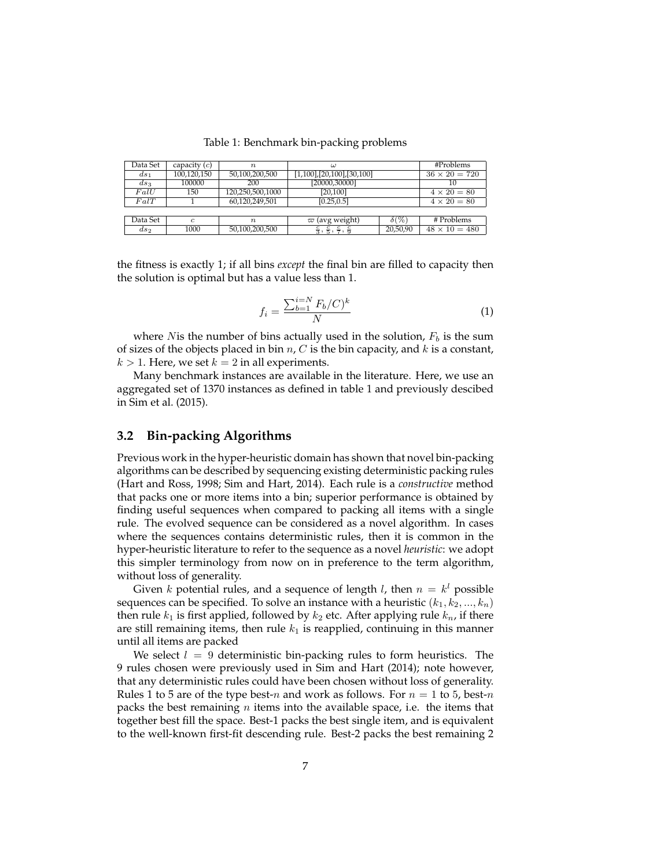Table 1: Benchmark bin-packing problems

| Data Set | capacity $(c)$ | $\boldsymbol{n}$ | $\omega$                                                                   |              | #Problems            |
|----------|----------------|------------------|----------------------------------------------------------------------------|--------------|----------------------|
| $ds_1$   | 100,120,150    | 50,100,200,500   | $[1,100]$ , $[20,100]$ , $[30,100]$                                        |              | $36 \times 20 = 720$ |
| $ds_3$   | 100000         | 200              | [20000,30000]                                                              |              | 10                   |
| FallU    | 150            | 120,250,500,1000 | [20, 100]                                                                  |              | $4 \times 20 = 80$   |
| FalT     |                | 60,120,249,501   | [0.25, 0.5]                                                                |              | $4 \times 20 = 80$   |
|          |                |                  |                                                                            |              |                      |
| Data Set | $\mathfrak{c}$ | $\eta$           | $\varpi$ (avg weight)                                                      | $\delta(\%)$ | # Problems           |
| $ds_2$   | 1000           | 50,100,200,500   | $\frac{c}{3}$ ,<br>$\bar{\mathbf{r}}$ ,<br>$\overline{7}$ , $\overline{9}$ | 20,50,90     | $48 \times 10 = 480$ |

the fitness is exactly 1; if all bins *except* the final bin are filled to capacity then the solution is optimal but has a value less than 1.

$$
f_i = \frac{\sum_{b=1}^{i=N} F_b/C)^k}{N}
$$
 (1)

where N is the number of bins actually used in the solution,  $F_b$  is the sum of sizes of the objects placed in bin  $n, C$  is the bin capacity, and  $k$  is a constant,  $k > 1$ . Here, we set  $k = 2$  in all experiments.

Many benchmark instances are available in the literature. Here, we use an aggregated set of 1370 instances as defined in table 1 and previously descibed in Sim et al. (2015).

#### **3.2 Bin-packing Algorithms**

Previous work in the hyper-heuristic domain has shown that novel bin-packing algorithms can be described by sequencing existing deterministic packing rules (Hart and Ross, 1998; Sim and Hart, 2014). Each rule is a *constructive* method that packs one or more items into a bin; superior performance is obtained by finding useful sequences when compared to packing all items with a single rule. The evolved sequence can be considered as a novel algorithm. In cases where the sequences contains deterministic rules, then it is common in the hyper-heuristic literature to refer to the sequence as a novel *heuristic*: we adopt this simpler terminology from now on in preference to the term algorithm, without loss of generality.

Given k potential rules, and a sequence of length l, then  $n = k<sup>l</sup>$  possible sequences can be specified. To solve an instance with a heuristic  $(k_1, k_2, ..., k_n)$ then rule  $k_1$  is first applied, followed by  $k_2$  etc. After applying rule  $k_n$ , if there are still remaining items, then rule  $k_1$  is reapplied, continuing in this manner until all items are packed

We select  $l = 9$  deterministic bin-packing rules to form heuristics. The 9 rules chosen were previously used in Sim and Hart (2014); note however, that any deterministic rules could have been chosen without loss of generality. Rules 1 to 5 are of the type best-n and work as follows. For  $n = 1$  to 5, best-n packs the best remaining *n* items into the available space, i.e. the items that together best fill the space. Best-1 packs the best single item, and is equivalent to the well-known first-fit descending rule. Best-2 packs the best remaining 2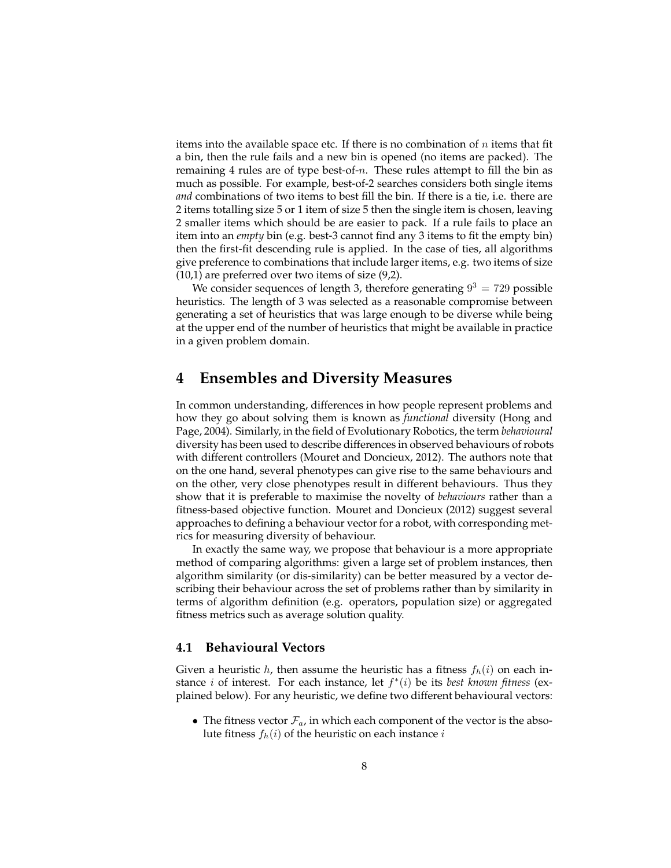items into the available space etc. If there is no combination of  $n$  items that fit a bin, then the rule fails and a new bin is opened (no items are packed). The remaining 4 rules are of type best-of-n. These rules attempt to fill the bin as much as possible. For example, best-of-2 searches considers both single items *and* combinations of two items to best fill the bin. If there is a tie, i.e. there are 2 items totalling size 5 or 1 item of size 5 then the single item is chosen, leaving 2 smaller items which should be are easier to pack. If a rule fails to place an item into an *empty* bin (e.g. best-3 cannot find any 3 items to fit the empty bin) then the first-fit descending rule is applied. In the case of ties, all algorithms give preference to combinations that include larger items, e.g. two items of size (10,1) are preferred over two items of size (9,2).

We consider sequences of length 3, therefore generating  $9^3 = 729$  possible heuristics. The length of 3 was selected as a reasonable compromise between generating a set of heuristics that was large enough to be diverse while being at the upper end of the number of heuristics that might be available in practice in a given problem domain.

### **4 Ensembles and Diversity Measures**

In common understanding, differences in how people represent problems and how they go about solving them is known as *functional* diversity (Hong and Page, 2004). Similarly, in the field of Evolutionary Robotics, the term *behavioural* diversity has been used to describe differences in observed behaviours of robots with different controllers (Mouret and Doncieux, 2012). The authors note that on the one hand, several phenotypes can give rise to the same behaviours and on the other, very close phenotypes result in different behaviours. Thus they show that it is preferable to maximise the novelty of *behaviours* rather than a fitness-based objective function. Mouret and Doncieux (2012) suggest several approaches to defining a behaviour vector for a robot, with corresponding metrics for measuring diversity of behaviour.

In exactly the same way, we propose that behaviour is a more appropriate method of comparing algorithms: given a large set of problem instances, then algorithm similarity (or dis-similarity) can be better measured by a vector describing their behaviour across the set of problems rather than by similarity in terms of algorithm definition (e.g. operators, population size) or aggregated fitness metrics such as average solution quality.

#### **4.1 Behavioural Vectors**

Given a heuristic h, then assume the heuristic has a fitness  $f_h(i)$  on each instance  $i$  of interest. For each instance, let  $f^*(i)$  be its *best known fitness* (explained below). For any heuristic, we define two different behavioural vectors:

• The fitness vector  $\mathcal{F}_a$ , in which each component of the vector is the absolute fitness  $f_h(i)$  of the heuristic on each instance i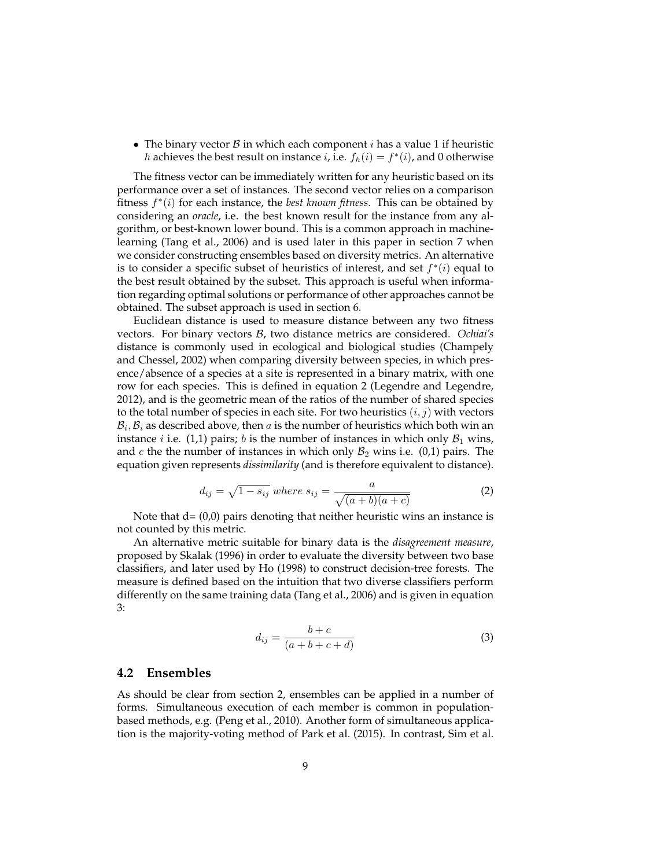• The binary vector  $\beta$  in which each component *i* has a value 1 if heuristic *h* achieves the best result on instance *i*, i.e.  $f_h(i) = f^*(i)$ , and 0 otherwise

The fitness vector can be immediately written for any heuristic based on its performance over a set of instances. The second vector relies on a comparison fitness  $f^*(i)$  for each instance, the *best known fitness*. This can be obtained by considering an *oracle*, i.e. the best known result for the instance from any algorithm, or best-known lower bound. This is a common approach in machinelearning (Tang et al., 2006) and is used later in this paper in section 7 when we consider constructing ensembles based on diversity metrics. An alternative is to consider a specific subset of heuristics of interest, and set  $f^*(i)$  equal to the best result obtained by the subset. This approach is useful when information regarding optimal solutions or performance of other approaches cannot be obtained. The subset approach is used in section 6.

Euclidean distance is used to measure distance between any two fitness vectors. For binary vectors B, two distance metrics are considered. *Ochiai's* distance is commonly used in ecological and biological studies (Champely and Chessel, 2002) when comparing diversity between species, in which presence/absence of a species at a site is represented in a binary matrix, with one row for each species. This is defined in equation 2 (Legendre and Legendre, 2012), and is the geometric mean of the ratios of the number of shared species to the total number of species in each site. For two heuristics  $(i, j)$  with vectors  $\mathcal{B}_i, \mathcal{B}_i$  as described above, then  $a$  is the number of heuristics which both win an instance *i* i.e. (1,1) pairs; *b* is the number of instances in which only  $B_1$  wins, and  $c$  the the number of instances in which only  $\mathcal{B}_2$  wins i.e. (0,1) pairs. The equation given represents *dissimilarity* (and is therefore equivalent to distance).

$$
d_{ij} = \sqrt{1 - s_{ij}} \text{ where } s_{ij} = \frac{a}{\sqrt{(a+b)(a+c)}} \tag{2}
$$

Note that  $d = (0,0)$  pairs denoting that neither heuristic wins an instance is not counted by this metric.

An alternative metric suitable for binary data is the *disagreement measure*, proposed by Skalak (1996) in order to evaluate the diversity between two base classifiers, and later used by Ho (1998) to construct decision-tree forests. The measure is defined based on the intuition that two diverse classifiers perform differently on the same training data (Tang et al., 2006) and is given in equation 3:

$$
d_{ij} = \frac{b+c}{(a+b+c+d)}
$$
 (3)

#### **4.2 Ensembles**

As should be clear from section 2, ensembles can be applied in a number of forms. Simultaneous execution of each member is common in populationbased methods, e.g. (Peng et al., 2010). Another form of simultaneous application is the majority-voting method of Park et al. (2015). In contrast, Sim et al.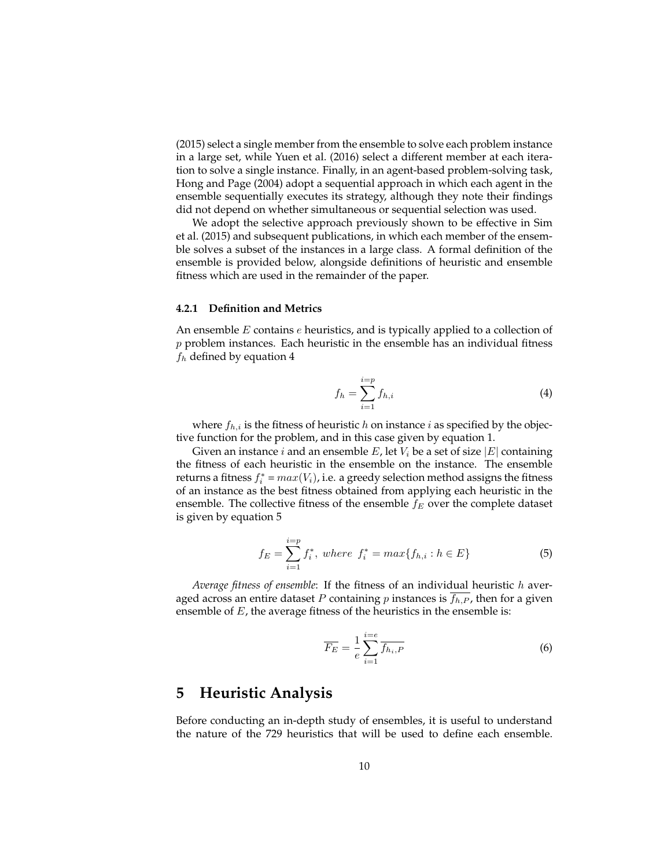(2015) select a single member from the ensemble to solve each problem instance in a large set, while Yuen et al. (2016) select a different member at each iteration to solve a single instance. Finally, in an agent-based problem-solving task, Hong and Page (2004) adopt a sequential approach in which each agent in the ensemble sequentially executes its strategy, although they note their findings did not depend on whether simultaneous or sequential selection was used.

We adopt the selective approach previously shown to be effective in Sim et al. (2015) and subsequent publications, in which each member of the ensemble solves a subset of the instances in a large class. A formal definition of the ensemble is provided below, alongside definitions of heuristic and ensemble fitness which are used in the remainder of the paper.

#### **4.2.1 Definition and Metrics**

An ensemble  $E$  contains  $e$  heuristics, and is typically applied to a collection of  $p$  problem instances. Each heuristic in the ensemble has an individual fitness  $f_h$  defined by equation 4

$$
f_h = \sum_{i=1}^{i=p} f_{h,i} \tag{4}
$$

where  $f_{h,i}$  is the fitness of heuristic h on instance i as specified by the objective function for the problem, and in this case given by equation 1.

Given an instance *i* and an ensemble  $E$ , let  $V_i$  be a set of size  $|E|$  containing the fitness of each heuristic in the ensemble on the instance. The ensemble returns a fitness  $f_i^* = max(V_i)$ , i.e. a greedy selection method assigns the fitness of an instance as the best fitness obtained from applying each heuristic in the ensemble. The collective fitness of the ensemble  $f_E$  over the complete dataset is given by equation 5

$$
f_E = \sum_{i=1}^{i=p} f_i^*, \text{ where } f_i^* = \max\{f_{h,i} : h \in E\}
$$
 (5)

*Average fitness of ensemble*: If the fitness of an individual heuristic h averaged across an entire dataset P containing p instances is  $f_{h,P}$ , then for a given ensemble of  $E$ , the average fitness of the heuristics in the ensemble is:

$$
\overline{F_E} = \frac{1}{e} \sum_{i=1}^{i=e} \overline{f_{h_i, P}}
$$
\n(6)

### **5 Heuristic Analysis**

Before conducting an in-depth study of ensembles, it is useful to understand the nature of the 729 heuristics that will be used to define each ensemble.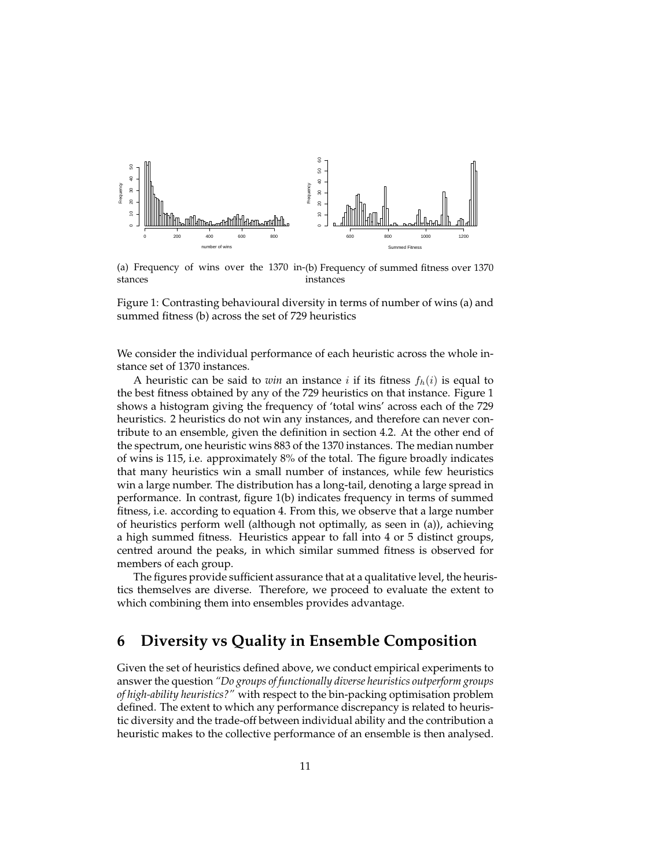

(a) Frequency of wins over the 1370 in-(b) Frequency of summed fitness over 1370 stances instances

Figure 1: Contrasting behavioural diversity in terms of number of wins (a) and summed fitness (b) across the set of 729 heuristics

We consider the individual performance of each heuristic across the whole instance set of 1370 instances.

A heuristic can be said to *win* an instance  $i$  if its fitness  $f_h(i)$  is equal to the best fitness obtained by any of the 729 heuristics on that instance. Figure 1 shows a histogram giving the frequency of 'total wins' across each of the 729 heuristics. 2 heuristics do not win any instances, and therefore can never contribute to an ensemble, given the definition in section 4.2. At the other end of the spectrum, one heuristic wins 883 of the 1370 instances. The median number of wins is 115, i.e. approximately 8% of the total. The figure broadly indicates that many heuristics win a small number of instances, while few heuristics win a large number. The distribution has a long-tail, denoting a large spread in performance. In contrast, figure 1(b) indicates frequency in terms of summed fitness, i.e. according to equation 4. From this, we observe that a large number of heuristics perform well (although not optimally, as seen in (a)), achieving a high summed fitness. Heuristics appear to fall into 4 or 5 distinct groups, centred around the peaks, in which similar summed fitness is observed for members of each group.

The figures provide sufficient assurance that at a qualitative level, the heuristics themselves are diverse. Therefore, we proceed to evaluate the extent to which combining them into ensembles provides advantage.

# **6 Diversity vs Quality in Ensemble Composition**

Given the set of heuristics defined above, we conduct empirical experiments to answer the question *"Do groups of functionally diverse heuristics outperform groups of high-ability heuristics?"* with respect to the bin-packing optimisation problem defined. The extent to which any performance discrepancy is related to heuristic diversity and the trade-off between individual ability and the contribution a heuristic makes to the collective performance of an ensemble is then analysed.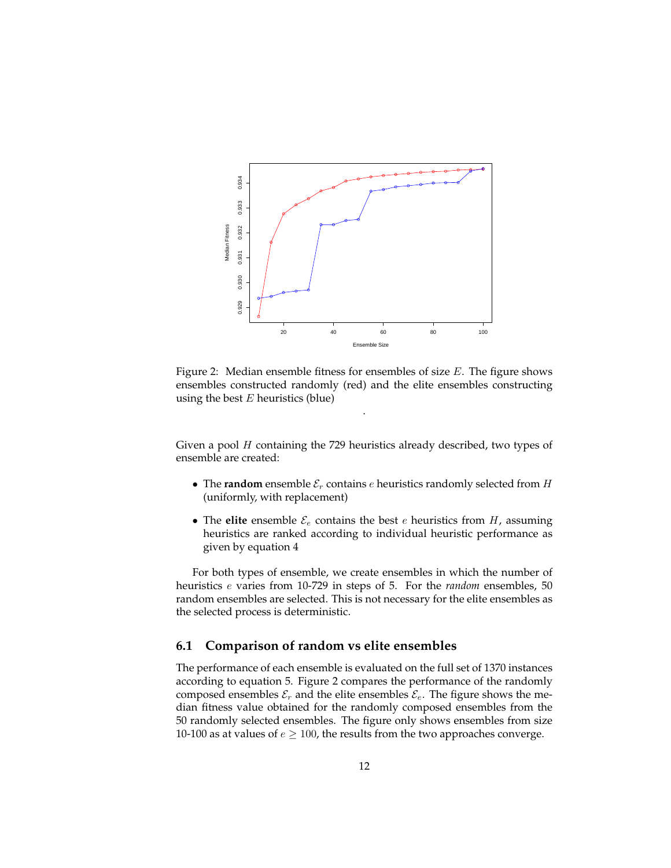

Figure 2: Median ensemble fitness for ensembles of size  $E$ . The figure shows ensembles constructed randomly (red) and the elite ensembles constructing using the best  $E$  heuristics (blue)

.

Given a pool  $H$  containing the 729 heuristics already described, two types of ensemble are created:

- The **random** ensemble  $\mathcal{E}_r$  contains *e* heuristics randomly selected from *H* (uniformly, with replacement)
- The **elite** ensemble  $\mathcal{E}_e$  contains the best  $e$  heuristics from  $H$ , assuming heuristics are ranked according to individual heuristic performance as given by equation 4

For both types of ensemble, we create ensembles in which the number of heuristics e varies from 10-729 in steps of 5. For the *random* ensembles, 50 random ensembles are selected. This is not necessary for the elite ensembles as the selected process is deterministic.

#### **6.1 Comparison of random vs elite ensembles**

The performance of each ensemble is evaluated on the full set of 1370 instances according to equation 5. Figure 2 compares the performance of the randomly composed ensembles  $\mathcal{E}_r$  and the elite ensembles  $\mathcal{E}_e$ . The figure shows the median fitness value obtained for the randomly composed ensembles from the 50 randomly selected ensembles. The figure only shows ensembles from size 10-100 as at values of  $e \ge 100$ , the results from the two approaches converge.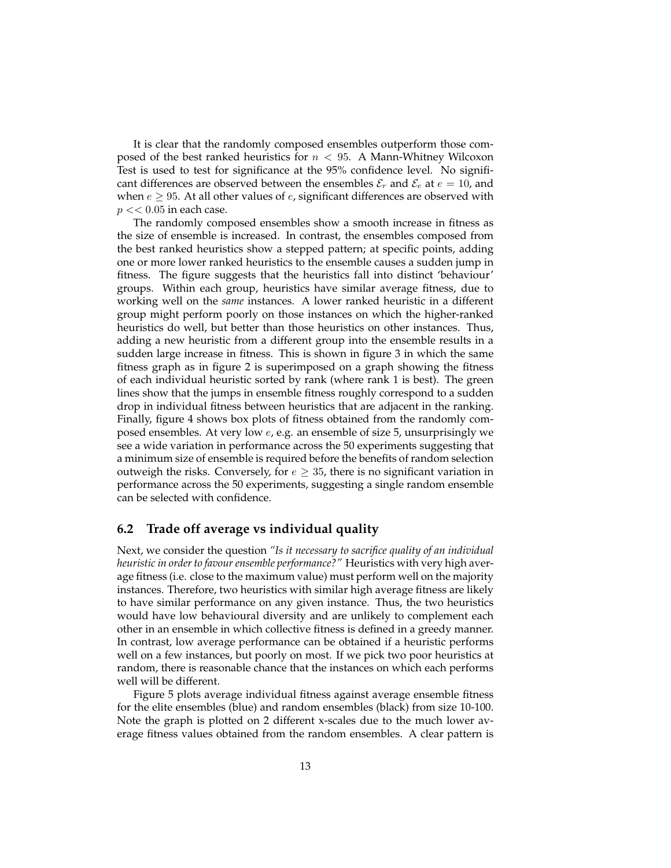It is clear that the randomly composed ensembles outperform those composed of the best ranked heuristics for  $n < 95$ . A Mann-Whitney Wilcoxon Test is used to test for significance at the 95% confidence level. No significant differences are observed between the ensembles  $\mathcal{E}_r$  and  $\mathcal{E}_e$  at  $e = 10$ , and when  $e \geq 95$ . At all other values of  $e$ , significant differences are observed with  $p \ll 0.05$  in each case.

The randomly composed ensembles show a smooth increase in fitness as the size of ensemble is increased. In contrast, the ensembles composed from the best ranked heuristics show a stepped pattern; at specific points, adding one or more lower ranked heuristics to the ensemble causes a sudden jump in fitness. The figure suggests that the heuristics fall into distinct 'behaviour' groups. Within each group, heuristics have similar average fitness, due to working well on the *same* instances. A lower ranked heuristic in a different group might perform poorly on those instances on which the higher-ranked heuristics do well, but better than those heuristics on other instances. Thus, adding a new heuristic from a different group into the ensemble results in a sudden large increase in fitness. This is shown in figure 3 in which the same fitness graph as in figure 2 is superimposed on a graph showing the fitness of each individual heuristic sorted by rank (where rank 1 is best). The green lines show that the jumps in ensemble fitness roughly correspond to a sudden drop in individual fitness between heuristics that are adjacent in the ranking. Finally, figure 4 shows box plots of fitness obtained from the randomly composed ensembles. At very low e, e.g. an ensemble of size 5, unsurprisingly we see a wide variation in performance across the 50 experiments suggesting that a minimum size of ensemble is required before the benefits of random selection outweigh the risks. Conversely, for  $e \geq 35$ , there is no significant variation in performance across the 50 experiments, suggesting a single random ensemble can be selected with confidence.

#### **6.2 Trade off average vs individual quality**

Next, we consider the question *"Is it necessary to sacrifice quality of an individual heuristic in order to favour ensemble performance?"* Heuristics with very high average fitness (i.e. close to the maximum value) must perform well on the majority instances. Therefore, two heuristics with similar high average fitness are likely to have similar performance on any given instance. Thus, the two heuristics would have low behavioural diversity and are unlikely to complement each other in an ensemble in which collective fitness is defined in a greedy manner. In contrast, low average performance can be obtained if a heuristic performs well on a few instances, but poorly on most. If we pick two poor heuristics at random, there is reasonable chance that the instances on which each performs well will be different.

Figure 5 plots average individual fitness against average ensemble fitness for the elite ensembles (blue) and random ensembles (black) from size 10-100. Note the graph is plotted on 2 different x-scales due to the much lower average fitness values obtained from the random ensembles. A clear pattern is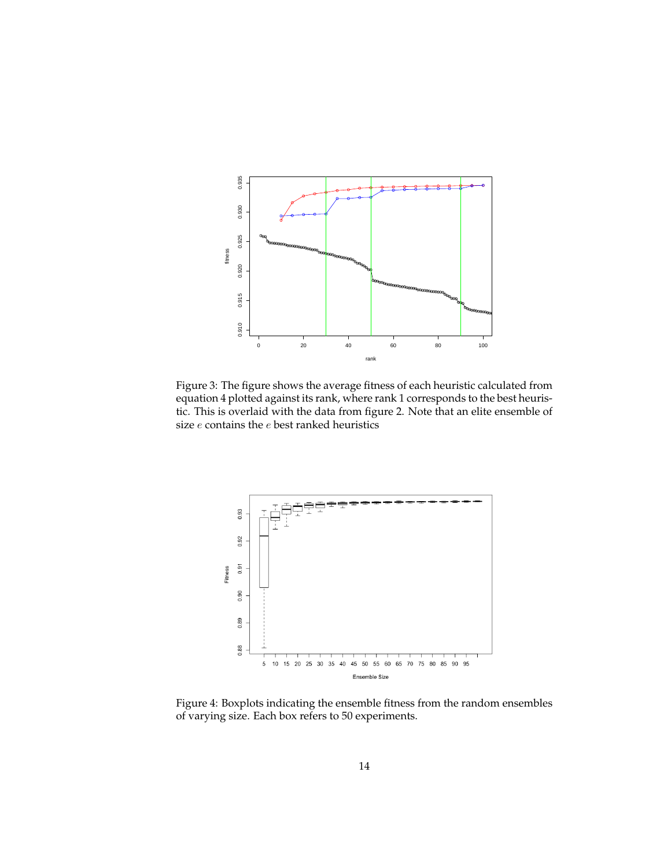

Figure 3: The figure shows the average fitness of each heuristic calculated from equation 4 plotted against its rank, where rank 1 corresponds to the best heuristic. This is overlaid with the data from figure 2. Note that an elite ensemble of size  $e$  contains the  $e$  best ranked heuristics



Figure 4: Boxplots indicating the ensemble fitness from the random ensembles of varying size. Each box refers to 50 experiments.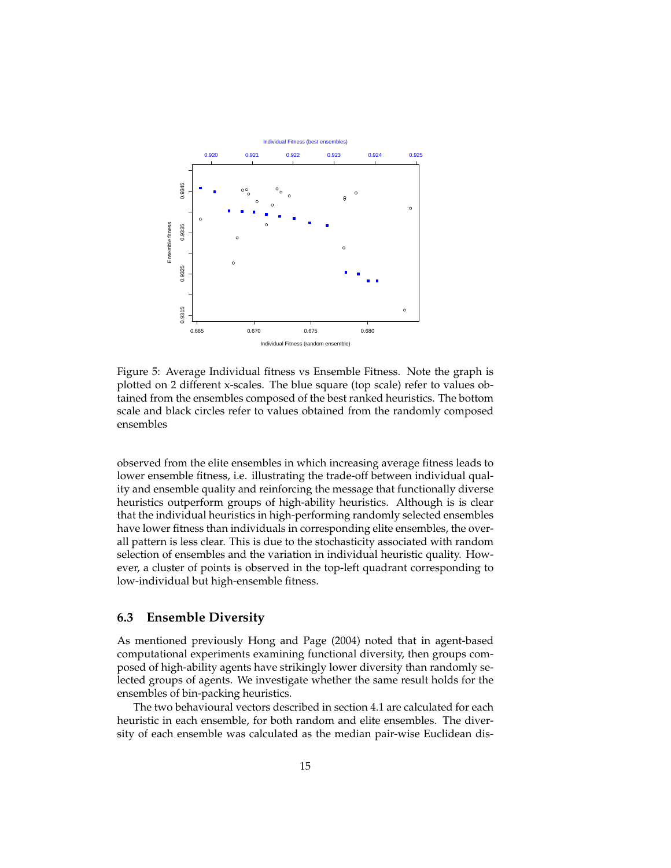

Figure 5: Average Individual fitness vs Ensemble Fitness. Note the graph is plotted on 2 different x-scales. The blue square (top scale) refer to values obtained from the ensembles composed of the best ranked heuristics. The bottom scale and black circles refer to values obtained from the randomly composed ensembles

observed from the elite ensembles in which increasing average fitness leads to lower ensemble fitness, i.e. illustrating the trade-off between individual quality and ensemble quality and reinforcing the message that functionally diverse heuristics outperform groups of high-ability heuristics. Although is is clear that the individual heuristics in high-performing randomly selected ensembles have lower fitness than individuals in corresponding elite ensembles, the overall pattern is less clear. This is due to the stochasticity associated with random selection of ensembles and the variation in individual heuristic quality. However, a cluster of points is observed in the top-left quadrant corresponding to low-individual but high-ensemble fitness.

#### **6.3 Ensemble Diversity**

As mentioned previously Hong and Page (2004) noted that in agent-based computational experiments examining functional diversity, then groups composed of high-ability agents have strikingly lower diversity than randomly selected groups of agents. We investigate whether the same result holds for the ensembles of bin-packing heuristics.

The two behavioural vectors described in section 4.1 are calculated for each heuristic in each ensemble, for both random and elite ensembles. The diversity of each ensemble was calculated as the median pair-wise Euclidean dis-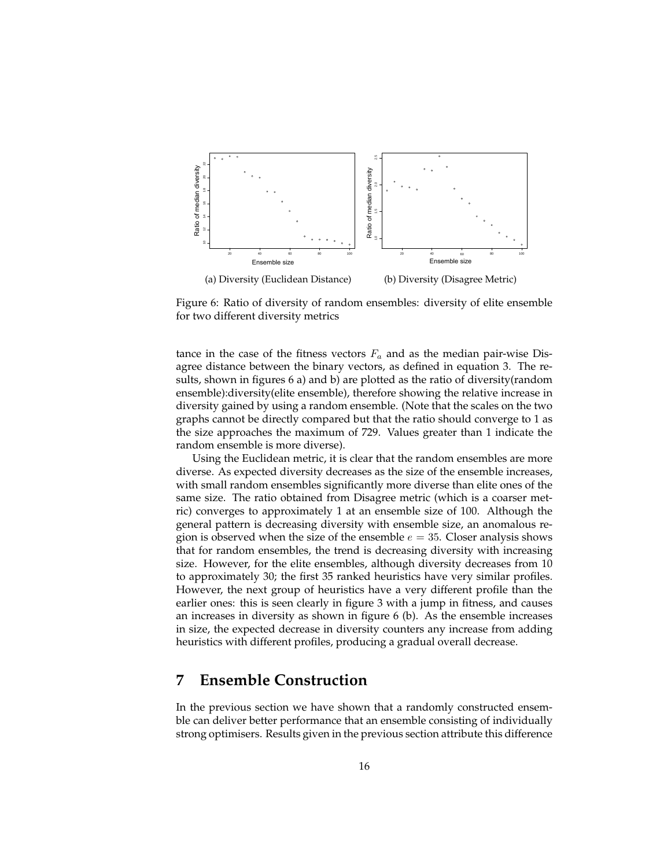

Figure 6: Ratio of diversity of random ensembles: diversity of elite ensemble for two different diversity metrics

tance in the case of the fitness vectors  $F_a$  and as the median pair-wise Disagree distance between the binary vectors, as defined in equation 3. The results, shown in figures 6 a) and b) are plotted as the ratio of diversity(random ensemble):diversity(elite ensemble), therefore showing the relative increase in diversity gained by using a random ensemble. (Note that the scales on the two graphs cannot be directly compared but that the ratio should converge to 1 as the size approaches the maximum of 729. Values greater than 1 indicate the random ensemble is more diverse).

Using the Euclidean metric, it is clear that the random ensembles are more diverse. As expected diversity decreases as the size of the ensemble increases, with small random ensembles significantly more diverse than elite ones of the same size. The ratio obtained from Disagree metric (which is a coarser metric) converges to approximately 1 at an ensemble size of 100. Although the general pattern is decreasing diversity with ensemble size, an anomalous region is observed when the size of the ensemble  $e = 35$ . Closer analysis shows that for random ensembles, the trend is decreasing diversity with increasing size. However, for the elite ensembles, although diversity decreases from 10 to approximately 30; the first 35 ranked heuristics have very similar profiles. However, the next group of heuristics have a very different profile than the earlier ones: this is seen clearly in figure 3 with a jump in fitness, and causes an increases in diversity as shown in figure 6 (b). As the ensemble increases in size, the expected decrease in diversity counters any increase from adding heuristics with different profiles, producing a gradual overall decrease.

# **7 Ensemble Construction**

In the previous section we have shown that a randomly constructed ensemble can deliver better performance that an ensemble consisting of individually strong optimisers. Results given in the previous section attribute this difference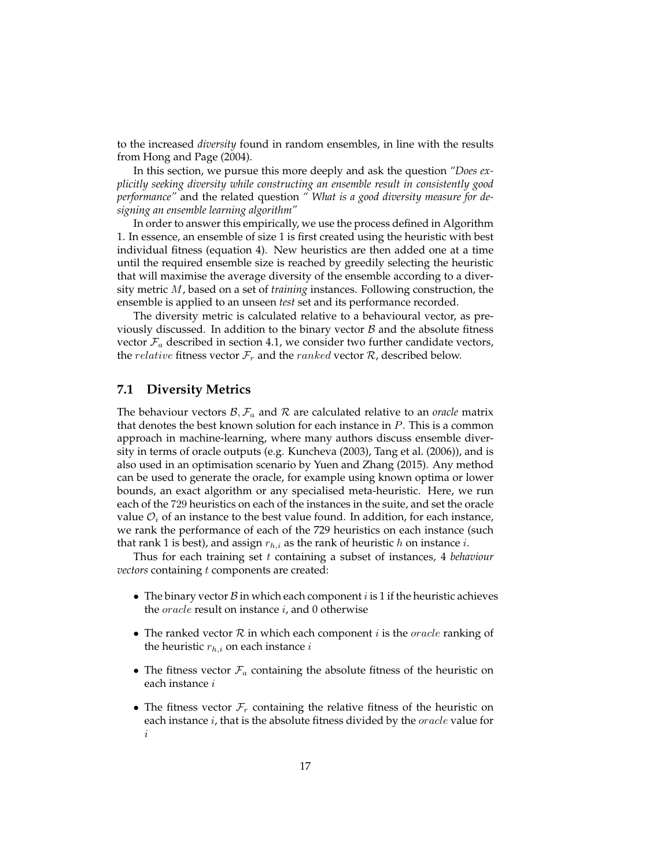to the increased *diversity* found in random ensembles, in line with the results from Hong and Page (2004).

In this section, we pursue this more deeply and ask the question *"Does explicitly seeking diversity while constructing an ensemble result in consistently good performance"* and the related question *" What is a good diversity measure for designing an ensemble learning algorithm"*

In order to answer this empirically, we use the process defined in Algorithm 1. In essence, an ensemble of size 1 is first created using the heuristic with best individual fitness (equation 4). New heuristics are then added one at a time until the required ensemble size is reached by greedily selecting the heuristic that will maximise the average diversity of the ensemble according to a diversity metric M, based on a set of *training* instances. Following construction, the ensemble is applied to an unseen *test* set and its performance recorded.

The diversity metric is calculated relative to a behavioural vector, as previously discussed. In addition to the binary vector  $\beta$  and the absolute fitness vector  $\mathcal{F}_a$  described in section 4.1, we consider two further candidate vectors, the *relative* fitness vector  $\mathcal{F}_r$  and the *ranked* vector  $\mathcal{R}$ , described below.

#### **7.1 Diversity Metrics**

The behaviour vectors  $\mathcal{B}, \mathcal{F}_a$  and  $\mathcal{R}$  are calculated relative to an *oracle* matrix that denotes the best known solution for each instance in  $P$ . This is a common approach in machine-learning, where many authors discuss ensemble diversity in terms of oracle outputs (e.g. Kuncheva (2003), Tang et al. (2006)), and is also used in an optimisation scenario by Yuen and Zhang (2015). Any method can be used to generate the oracle, for example using known optima or lower bounds, an exact algorithm or any specialised meta-heuristic. Here, we run each of the 729 heuristics on each of the instances in the suite, and set the oracle value  $\mathcal{O}_i$  of an instance to the best value found. In addition, for each instance, we rank the performance of each of the 729 heuristics on each instance (such that rank 1 is best), and assign  $r_{h,i}$  as the rank of heuristic h on instance i.

Thus for each training set t containing a subset of instances, 4 *behaviour vectors* containing t components are created:

- The binary vector  $\beta$  in which each component  $i$  is 1 if the heuristic achieves the  $oracle$  result on instance  $i$ , and 0 otherwise
- The ranked vector  $R$  in which each component  $i$  is the *oracle* ranking of the heuristic  $r_{h,i}$  on each instance i
- The fitness vector  $\mathcal{F}_a$  containing the absolute fitness of the heuristic on each instance i
- The fitness vector  $\mathcal{F}_r$  containing the relative fitness of the heuristic on each instance  $i$ , that is the absolute fitness divided by the  $oracle$  value for i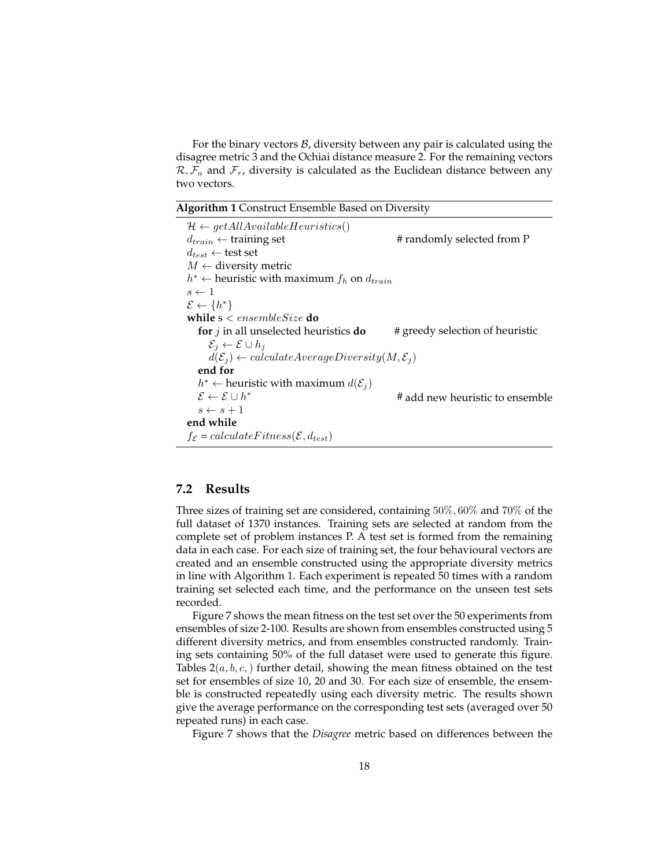For the binary vectors  $B$ , diversity between any pair is calculated using the disagree metric 3 and the Ochiai distance measure 2. For the remaining vectors  $\mathcal{R}, \mathcal{F}_a$  and  $\mathcal{F}_r$ , diversity is calculated as the Euclidean distance between any two vectors.

**Algorithm 1** Construct Ensemble Based on Diversity

| $\mathcal{H} \leftarrow getAllAvailableHeuristics()$                      |                                 |
|---------------------------------------------------------------------------|---------------------------------|
| $d_{train} \leftarrow$ training set                                       | # randomly selected from P      |
| $d_{test} \leftarrow$ test set                                            |                                 |
| $M \leftarrow$ diversity metric                                           |                                 |
| $h^* \leftarrow$ heuristic with maximum $f_h$ on $d_{train}$              |                                 |
| $s \leftarrow 1$                                                          |                                 |
| $\mathcal{E} \leftarrow \{h^*\}$                                          |                                 |
| while $s$ < ensemble Size do                                              |                                 |
| for $j$ in all unselected heuristics do                                   | # greedy selection of heuristic |
| $\mathcal{E}_i \leftarrow \mathcal{E} \cup h_i$                           |                                 |
| $d(\mathcal{E}_i) \leftarrow calculateAverageDiversity(M, \mathcal{E}_i)$ |                                 |
| end for                                                                   |                                 |
| $h^* \leftarrow$ heuristic with maximum $d(\mathcal{E}_i)$                |                                 |
| $\mathcal{E} \leftarrow \mathcal{E} \cup h^*$                             | # add new heuristic to ensemble |
| $s \leftarrow s + 1$                                                      |                                 |
| end while                                                                 |                                 |
| $f_{\mathcal{E}} = calculateFitness(\mathcal{E}, d_{test})$               |                                 |

### **7.2 Results**

Three sizes of training set are considered, containing 50%, 60% and 70% of the full dataset of 1370 instances. Training sets are selected at random from the complete set of problem instances P. A test set is formed from the remaining data in each case. For each size of training set, the four behavioural vectors are created and an ensemble constructed using the appropriate diversity metrics in line with Algorithm 1. Each experiment is repeated 50 times with a random training set selected each time, and the performance on the unseen test sets recorded.

Figure 7 shows the mean fitness on the test set over the 50 experiments from ensembles of size 2-100. Results are shown from ensembles constructed using 5 different diversity metrics, and from ensembles constructed randomly. Training sets containing 50% of the full dataset were used to generate this figure. Tables  $2(a, b, c)$  further detail, showing the mean fitness obtained on the test set for ensembles of size 10, 20 and 30. For each size of ensemble, the ensemble is constructed repeatedly using each diversity metric. The results shown give the average performance on the corresponding test sets (averaged over 50 repeated runs) in each case.

Figure 7 shows that the *Disagree* metric based on differences between the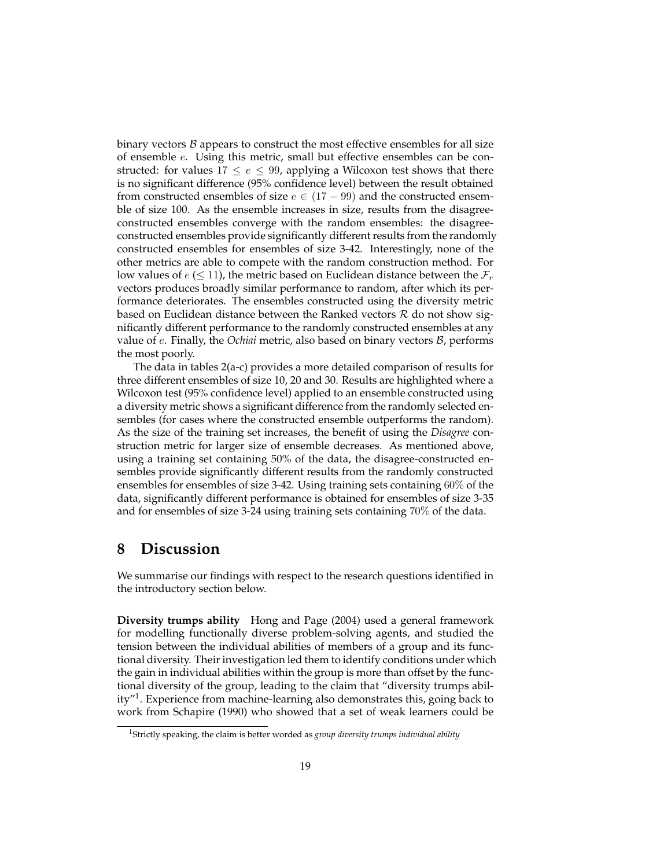binary vectors  $B$  appears to construct the most effective ensembles for all size of ensemble e. Using this metric, small but effective ensembles can be constructed: for values  $17 \le e \le 99$ , applying a Wilcoxon test shows that there is no significant difference (95% confidence level) between the result obtained from constructed ensembles of size  $e \in (17 - 99)$  and the constructed ensemble of size 100. As the ensemble increases in size, results from the disagreeconstructed ensembles converge with the random ensembles: the disagreeconstructed ensembles provide significantly different results from the randomly constructed ensembles for ensembles of size 3-42. Interestingly, none of the other metrics are able to compete with the random construction method. For low values of  $e \leq 11$ , the metric based on Euclidean distance between the  $\mathcal{F}_r$ vectors produces broadly similar performance to random, after which its performance deteriorates. The ensembles constructed using the diversity metric based on Euclidean distance between the Ranked vectors  $R$  do not show significantly different performance to the randomly constructed ensembles at any value of e. Finally, the *Ochiai* metric, also based on binary vectors B, performs the most poorly.

The data in tables 2(a-c) provides a more detailed comparison of results for three different ensembles of size 10, 20 and 30. Results are highlighted where a Wilcoxon test (95% confidence level) applied to an ensemble constructed using a diversity metric shows a significant difference from the randomly selected ensembles (for cases where the constructed ensemble outperforms the random). As the size of the training set increases, the benefit of using the *Disagree* construction metric for larger size of ensemble decreases. As mentioned above, using a training set containing 50% of the data, the disagree-constructed ensembles provide significantly different results from the randomly constructed ensembles for ensembles of size 3-42. Using training sets containing 60% of the data, significantly different performance is obtained for ensembles of size 3-35 and for ensembles of size 3-24 using training sets containing 70% of the data.

# **8 Discussion**

We summarise our findings with respect to the research questions identified in the introductory section below.

**Diversity trumps ability** Hong and Page (2004) used a general framework for modelling functionally diverse problem-solving agents, and studied the tension between the individual abilities of members of a group and its functional diversity. Their investigation led them to identify conditions under which the gain in individual abilities within the group is more than offset by the functional diversity of the group, leading to the claim that "diversity trumps ability"<sup>1</sup> . Experience from machine-learning also demonstrates this, going back to work from Schapire (1990) who showed that a set of weak learners could be

<sup>1</sup>Strictly speaking, the claim is better worded as *group diversity trumps individual ability*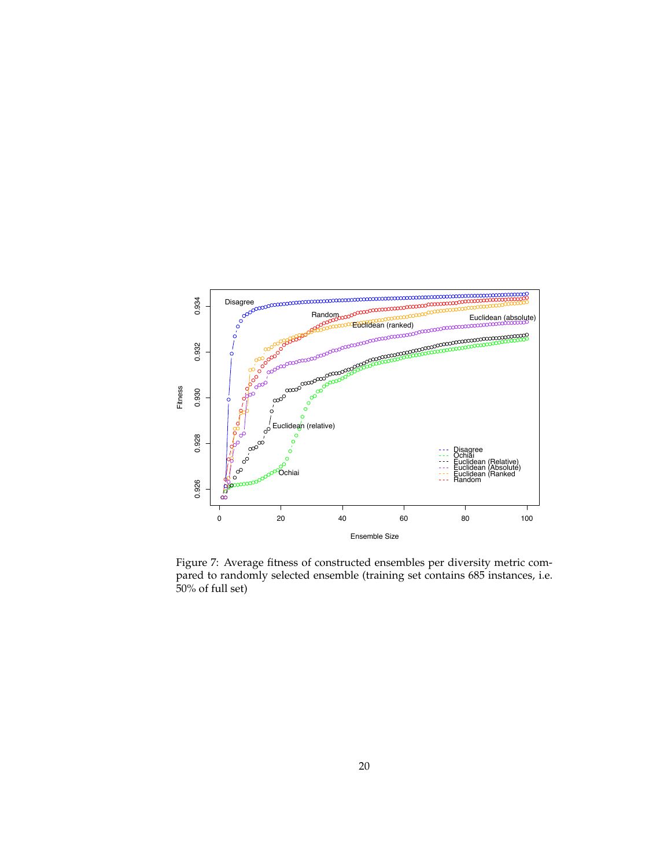

Figure 7: Average fitness of constructed ensembles per diversity metric compared to randomly selected ensemble (training set contains 685 instances, i.e. 50% of full set)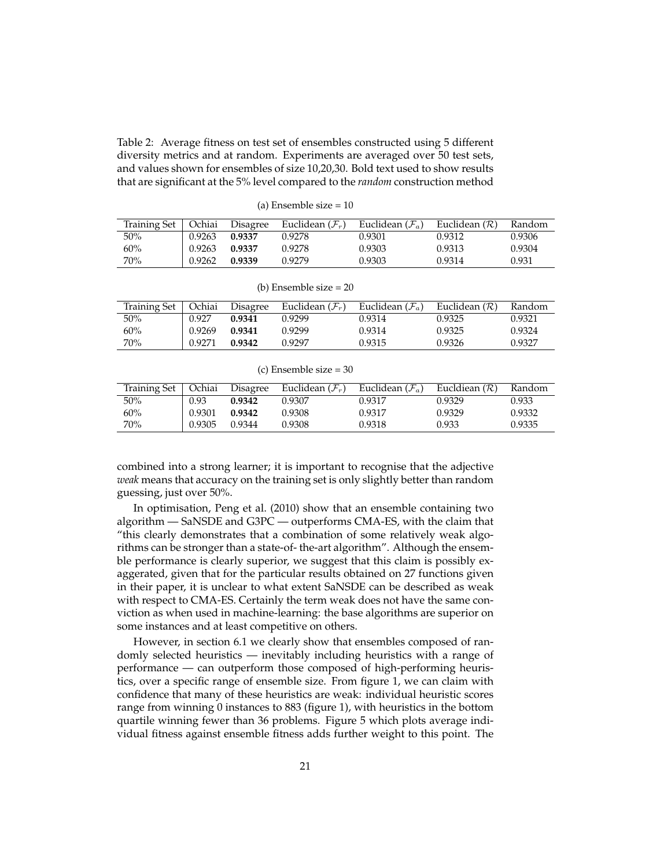Table 2: Average fitness on test set of ensembles constructed using 5 different diversity metrics and at random. Experiments are averaged over 50 test sets, and values shown for ensembles of size 10,20,30. Bold text used to show results that are significant at the 5% level compared to the *random* construction method

(a) Ensemble size = 10

Training Set | Ochiai Disagree Euclidean  $(\mathcal{F}_r)$  Euclidean  $(\mathcal{F}_a)$  Euclidean  $(\mathcal{R})$  Random 50% 0.9263 **0.9337** 0.9278 0.9301 0.9312 0.9306 60% 0.9263 **0.9337** 0.9278 0.9303 0.9313 0.9304 70% 0.9262 **0.9339** 0.9279 0.9303 0.9314 0.931

(b) Ensemble size = 20

| Training Set | Ochiai | Disagree | Euclidean $(\mathcal{F}_r)$ | Euclidean $(\mathcal{F}_a)$ | Euclidean $(\mathcal{R})$ | Random |
|--------------|--------|----------|-----------------------------|-----------------------------|---------------------------|--------|
| 50%          | 0.927  | 0.9341   | 0.9299                      | 0.9314                      | 0.9325                    | 0.9321 |
| 60%          | 0.9269 | 0.9341   | 0.9299                      | 0.9314                      | 0.9325                    | 0.9324 |
| 70%          | 0.9271 | 0.9342   | 0.9297                      | 0.9315                      | 0.9326                    | 0.9327 |

(c) Ensemble size = 30

| Training Set   Ochiai |        | Disagree | Euclidean $(\mathcal{F}_r)$ | Euclidean $(\mathcal{F}_a)$ | Eucldiean $(\mathcal{R})$ | Random |
|-----------------------|--------|----------|-----------------------------|-----------------------------|---------------------------|--------|
| 50%                   | 0.93   | 0.9342   | 0.9307                      | 0.9317                      | 0.9329                    | 0.933  |
| 60%                   | 0.9301 | 0.9342   | 0.9308                      | 0.9317                      | 0.9329                    | 0.9332 |
| 70%                   | 0.9305 | 0.9344   | 0.9308                      | 0.9318                      | 0.933                     | 0.9335 |

combined into a strong learner; it is important to recognise that the adjective *weak* means that accuracy on the training set is only slightly better than random guessing, just over 50%.

In optimisation, Peng et al. (2010) show that an ensemble containing two algorithm — SaNSDE and G3PC — outperforms CMA-ES, with the claim that "this clearly demonstrates that a combination of some relatively weak algorithms can be stronger than a state-of- the-art algorithm". Although the ensemble performance is clearly superior, we suggest that this claim is possibly exaggerated, given that for the particular results obtained on 27 functions given in their paper, it is unclear to what extent SaNSDE can be described as weak with respect to CMA-ES. Certainly the term weak does not have the same conviction as when used in machine-learning: the base algorithms are superior on some instances and at least competitive on others.

However, in section 6.1 we clearly show that ensembles composed of randomly selected heuristics — inevitably including heuristics with a range of performance — can outperform those composed of high-performing heuristics, over a specific range of ensemble size. From figure 1, we can claim with confidence that many of these heuristics are weak: individual heuristic scores range from winning 0 instances to 883 (figure 1), with heuristics in the bottom quartile winning fewer than 36 problems. Figure 5 which plots average individual fitness against ensemble fitness adds further weight to this point. The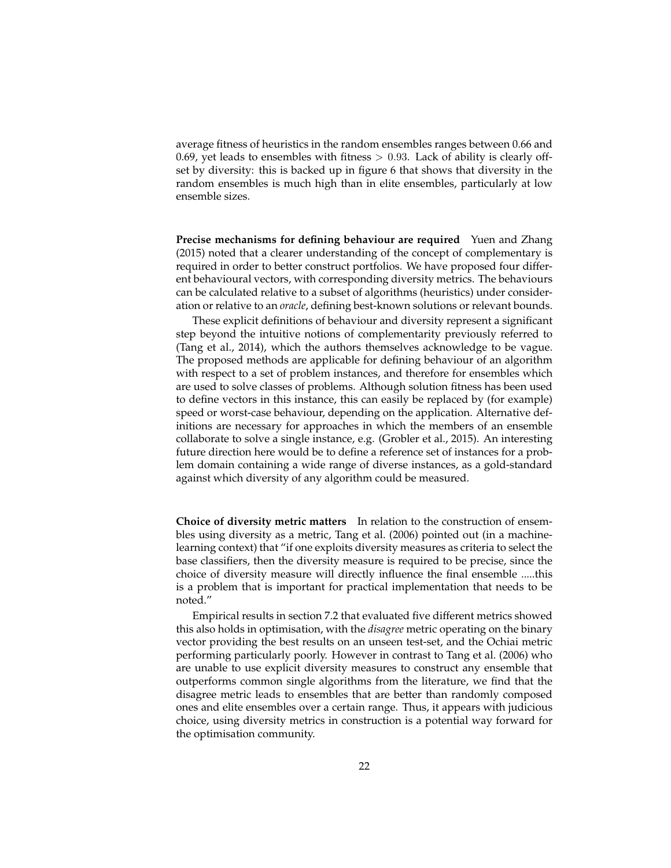average fitness of heuristics in the random ensembles ranges between 0.66 and 0.69, yet leads to ensembles with fitness  $> 0.93$ . Lack of ability is clearly offset by diversity: this is backed up in figure 6 that shows that diversity in the random ensembles is much high than in elite ensembles, particularly at low ensemble sizes.

**Precise mechanisms for defining behaviour are required** Yuen and Zhang (2015) noted that a clearer understanding of the concept of complementary is required in order to better construct portfolios. We have proposed four different behavioural vectors, with corresponding diversity metrics. The behaviours can be calculated relative to a subset of algorithms (heuristics) under consideration or relative to an *oracle*, defining best-known solutions or relevant bounds.

These explicit definitions of behaviour and diversity represent a significant step beyond the intuitive notions of complementarity previously referred to (Tang et al., 2014), which the authors themselves acknowledge to be vague. The proposed methods are applicable for defining behaviour of an algorithm with respect to a set of problem instances, and therefore for ensembles which are used to solve classes of problems. Although solution fitness has been used to define vectors in this instance, this can easily be replaced by (for example) speed or worst-case behaviour, depending on the application. Alternative definitions are necessary for approaches in which the members of an ensemble collaborate to solve a single instance, e.g. (Grobler et al., 2015). An interesting future direction here would be to define a reference set of instances for a problem domain containing a wide range of diverse instances, as a gold-standard against which diversity of any algorithm could be measured.

**Choice of diversity metric matters** In relation to the construction of ensembles using diversity as a metric, Tang et al. (2006) pointed out (in a machinelearning context) that "if one exploits diversity measures as criteria to select the base classifiers, then the diversity measure is required to be precise, since the choice of diversity measure will directly influence the final ensemble .....this is a problem that is important for practical implementation that needs to be noted."

Empirical results in section 7.2 that evaluated five different metrics showed this also holds in optimisation, with the *disagree* metric operating on the binary vector providing the best results on an unseen test-set, and the Ochiai metric performing particularly poorly. However in contrast to Tang et al. (2006) who are unable to use explicit diversity measures to construct any ensemble that outperforms common single algorithms from the literature, we find that the disagree metric leads to ensembles that are better than randomly composed ones and elite ensembles over a certain range. Thus, it appears with judicious choice, using diversity metrics in construction is a potential way forward for the optimisation community.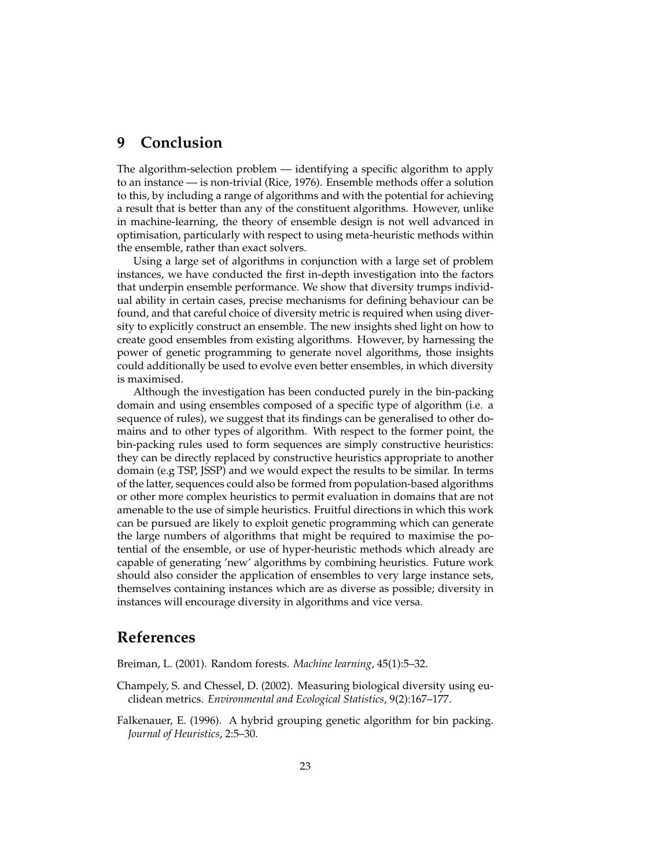## **9 Conclusion**

The algorithm-selection problem — identifying a specific algorithm to apply to an instance — is non-trivial (Rice, 1976). Ensemble methods offer a solution to this, by including a range of algorithms and with the potential for achieving a result that is better than any of the constituent algorithms. However, unlike in machine-learning, the theory of ensemble design is not well advanced in optimisation, particularly with respect to using meta-heuristic methods within the ensemble, rather than exact solvers.

Using a large set of algorithms in conjunction with a large set of problem instances, we have conducted the first in-depth investigation into the factors that underpin ensemble performance. We show that diversity trumps individual ability in certain cases, precise mechanisms for defining behaviour can be found, and that careful choice of diversity metric is required when using diversity to explicitly construct an ensemble. The new insights shed light on how to create good ensembles from existing algorithms. However, by harnessing the power of genetic programming to generate novel algorithms, those insights could additionally be used to evolve even better ensembles, in which diversity is maximised.

Although the investigation has been conducted purely in the bin-packing domain and using ensembles composed of a specific type of algorithm (i.e. a sequence of rules), we suggest that its findings can be generalised to other domains and to other types of algorithm. With respect to the former point, the bin-packing rules used to form sequences are simply constructive heuristics: they can be directly replaced by constructive heuristics appropriate to another domain (e.g TSP, JSSP) and we would expect the results to be similar. In terms of the latter, sequences could also be formed from population-based algorithms or other more complex heuristics to permit evaluation in domains that are not amenable to the use of simple heuristics. Fruitful directions in which this work can be pursued are likely to exploit genetic programming which can generate the large numbers of algorithms that might be required to maximise the potential of the ensemble, or use of hyper-heuristic methods which already are capable of generating 'new' algorithms by combining heuristics. Future work should also consider the application of ensembles to very large instance sets, themselves containing instances which are as diverse as possible; diversity in instances will encourage diversity in algorithms and vice versa.

# **References**

Breiman, L. (2001). Random forests. *Machine learning*, 45(1):5–32.

- Champely, S. and Chessel, D. (2002). Measuring biological diversity using euclidean metrics. *Environmental and Ecological Statistics*, 9(2):167–177.
- Falkenauer, E. (1996). A hybrid grouping genetic algorithm for bin packing. *Journal of Heuristics*, 2:5–30.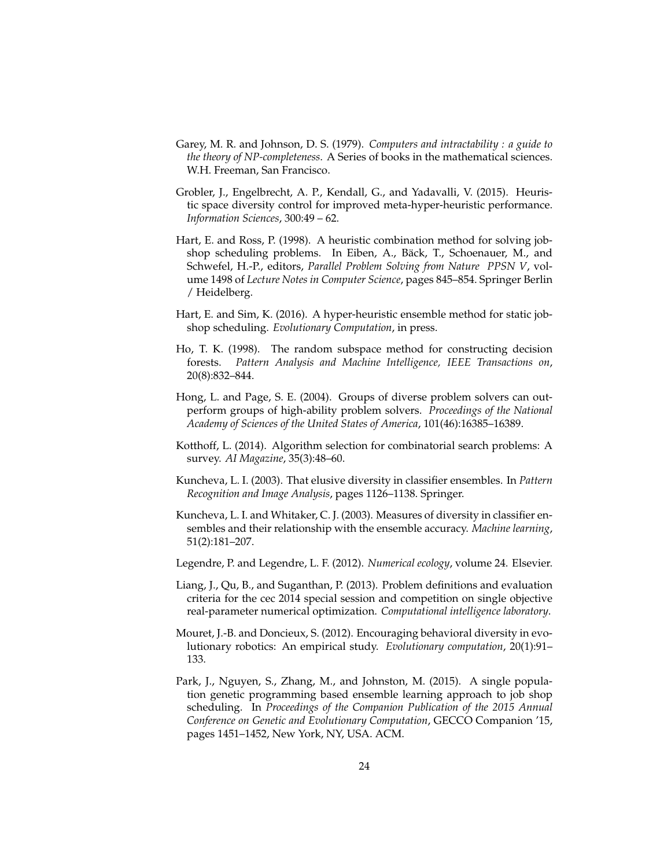- Garey, M. R. and Johnson, D. S. (1979). *Computers and intractability : a guide to the theory of NP-completeness*. A Series of books in the mathematical sciences. W.H. Freeman, San Francisco.
- Grobler, J., Engelbrecht, A. P., Kendall, G., and Yadavalli, V. (2015). Heuristic space diversity control for improved meta-hyper-heuristic performance. *Information Sciences*, 300:49 – 62.
- Hart, E. and Ross, P. (1998). A heuristic combination method for solving jobshop scheduling problems. In Eiben, A., Bäck, T., Schoenauer, M., and Schwefel, H.-P., editors, *Parallel Problem Solving from Nature PPSN V*, volume 1498 of *Lecture Notes in Computer Science*, pages 845–854. Springer Berlin / Heidelberg.
- Hart, E. and Sim, K. (2016). A hyper-heuristic ensemble method for static jobshop scheduling. *Evolutionary Computation*, in press.
- Ho, T. K. (1998). The random subspace method for constructing decision forests. *Pattern Analysis and Machine Intelligence, IEEE Transactions on*, 20(8):832–844.
- Hong, L. and Page, S. E. (2004). Groups of diverse problem solvers can outperform groups of high-ability problem solvers. *Proceedings of the National Academy of Sciences of the United States of America*, 101(46):16385–16389.
- Kotthoff, L. (2014). Algorithm selection for combinatorial search problems: A survey. *AI Magazine*, 35(3):48–60.
- Kuncheva, L. I. (2003). That elusive diversity in classifier ensembles. In *Pattern Recognition and Image Analysis*, pages 1126–1138. Springer.
- Kuncheva, L. I. and Whitaker, C. J. (2003). Measures of diversity in classifier ensembles and their relationship with the ensemble accuracy. *Machine learning*, 51(2):181–207.
- Legendre, P. and Legendre, L. F. (2012). *Numerical ecology*, volume 24. Elsevier.
- Liang, J., Qu, B., and Suganthan, P. (2013). Problem definitions and evaluation criteria for the cec 2014 special session and competition on single objective real-parameter numerical optimization. *Computational intelligence laboratory*.
- Mouret, J.-B. and Doncieux, S. (2012). Encouraging behavioral diversity in evolutionary robotics: An empirical study. *Evolutionary computation*, 20(1):91– 133.
- Park, J., Nguyen, S., Zhang, M., and Johnston, M. (2015). A single population genetic programming based ensemble learning approach to job shop scheduling. In *Proceedings of the Companion Publication of the 2015 Annual Conference on Genetic and Evolutionary Computation*, GECCO Companion '15, pages 1451–1452, New York, NY, USA. ACM.